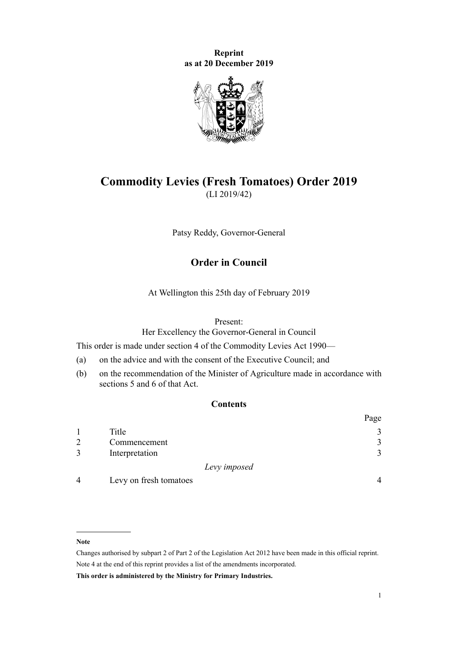**Reprint as at 20 December 2019**



# **Commodity Levies (Fresh Tomatoes) Order 2019** (LI 2019/42)

Patsy Reddy, Governor-General

# **Order in Council**

At Wellington this 25th day of February 2019

#### Present:

Her Excellency the Governor-General in Council

This order is made under [section 4](http://legislation.govt.nz/pdflink.aspx?id=DLM227326) of the [Commodity Levies Act 1990](http://legislation.govt.nz/pdflink.aspx?id=DLM226673)—

- (a) on the advice and with the consent of the Executive Council; and
- (b) on the recommendation of the Minister of Agriculture made in accordance with [sections 5](http://legislation.govt.nz/pdflink.aspx?id=DLM227327) and [6](http://legislation.govt.nz/pdflink.aspx?id=DLM227329) of that Act.

# **Contents**

|                |                        |              | Page |
|----------------|------------------------|--------------|------|
|                | Title                  |              | 3    |
| $\overline{2}$ | Commencement           |              | 3    |
| 3              | Interpretation         |              | 3    |
|                |                        | Levy imposed |      |
| $\overline{4}$ | Levy on fresh tomatoes |              |      |

#### **Note**

Changes authorised by [subpart 2](http://legislation.govt.nz/pdflink.aspx?id=DLM2998524) of Part 2 of the Legislation Act 2012 have been made in this official reprint. Note 4 at the end of this reprint provides a list of the amendments incorporated.

**This order is administered by the Ministry for Primary Industries.**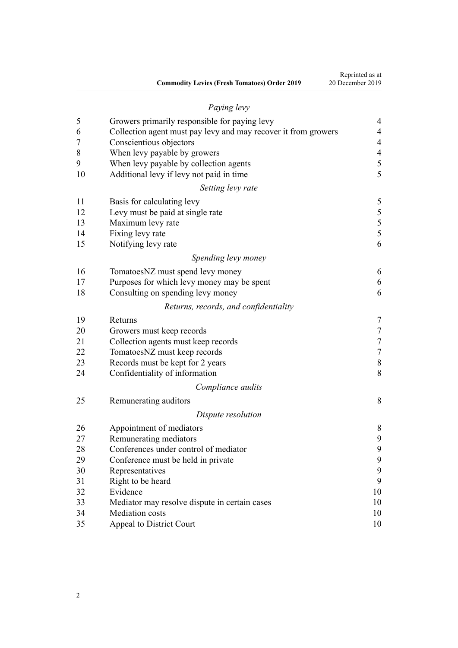|                                                     | Reprinted as at  |
|-----------------------------------------------------|------------------|
| <b>Commodity Levies (Fresh Tomatoes) Order 2019</b> | 20 December 2019 |

# *[Paying levy](#page-3-0)* [Growers primarily responsible for paying levy](#page-3-0) [4](#page-3-0) [Collection agent must pay levy and may recover it from growers](#page-3-0) [4](#page-3-0) [Conscientious objectors](#page-3-0) [4](#page-3-0) [When levy payable by growers](#page-3-0) [4](#page-3-0) [When levy payable by collection agents](#page-4-0) [5](#page-4-0) [Additional levy if levy not paid in time](#page-4-0) [5](#page-4-0) *[Setting levy rate](#page-4-0)* [Basis for calculating levy](#page-4-0) [5](#page-4-0) [Levy must be paid at single rate](#page-4-0) [5](#page-4-0) [Maximum levy rate](#page-4-0) [5](#page-4-0) [Fixing levy rate](#page-4-0) [5](#page-4-0) [Notifying levy rate](#page-5-0) [6](#page-5-0) *[Spending levy money](#page-5-0)* Tomatoes NZ must spend levy money [6](#page-5-0) [Purposes for which levy money may be spent](#page-5-0) [6](#page-5-0) [Consulting on spending levy money](#page-5-0) [6](#page-5-0) *[Returns, records, and confidentiality](#page-6-0)* [Returns](#page-6-0) [7](#page-6-0) [Growers must keep records](#page-6-0) [7](#page-6-0) [Collection agents must keep records](#page-6-0) [7](#page-6-0) [TomatoesNZ must keep records](#page-6-0) [7](#page-6-0) [Records must be kept for 2 years](#page-7-0) [8](#page-7-0) [Confidentiality of information](#page-7-0) [8](#page-7-0) *[Compliance audits](#page-7-0)* [Remunerating auditors](#page-7-0) [8](#page-7-0) *[Dispute resolution](#page-7-0)* [Appointment of mediators](#page-7-0) [8](#page-7-0) [Remunerating mediators](#page-8-0) [9](#page-8-0) [Conferences under control of mediator](#page-8-0) [9](#page-8-0) [Conference must be held in private](#page-8-0) [9](#page-8-0) [Representatives](#page-8-0) [9](#page-8-0) [Right to be heard](#page-8-0) [9](#page-8-0) [Evidence](#page-9-0) [10](#page-9-0) [Mediator may resolve dispute in certain cases](#page-9-0) [10](#page-9-0)

 [Mediation costs](#page-9-0) [10](#page-9-0) [Appeal to District Court](#page-9-0) [10](#page-9-0)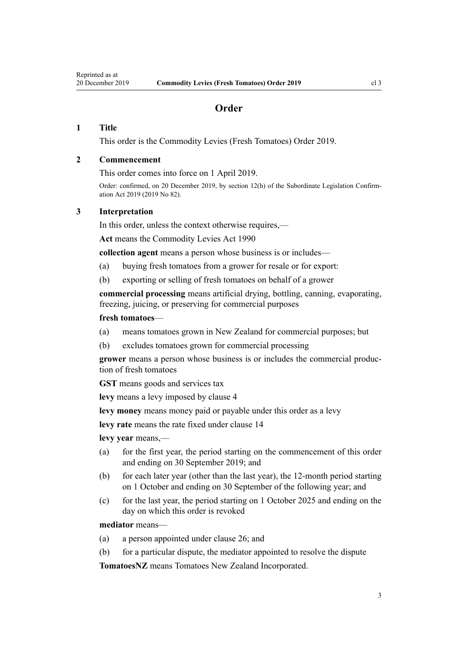# **Order**

# <span id="page-2-0"></span>**1 Title**

This order is the Commodity Levies (Fresh Tomatoes) Order 2019.

## **2 Commencement**

This order comes into force on 1 April 2019.

Order: confirmed, on 20 December 2019, by [section 12\(h\)](http://legislation.govt.nz/pdflink.aspx?id=LMS229824) of the Subordinate Legislation Confirmation Act 2019 (2019 No 82).

#### **3 Interpretation**

In this order, unless the context otherwise requires,—

**Act** means the [Commodity Levies Act 1990](http://legislation.govt.nz/pdflink.aspx?id=DLM226673)

**collection agent** means a person whose business is or includes—

- (a) buying fresh tomatoes from a grower for resale or for export:
- (b) exporting or selling of fresh tomatoes on behalf of a grower

**commercial processing** means artificial drying, bottling, canning, evaporating, freezing, juicing, or preserving for commercial purposes

#### **fresh tomatoes**—

- (a) means tomatoes grown in New Zealand for commercial purposes; but
- (b) excludes tomatoes grown for commercial processing

**grower** means a person whose business is or includes the commercial production of fresh tomatoes

**GST** means goods and services tax

**levy** means a levy imposed by clause 4

**levy money** means money paid or payable under this order as a levy

**levy rate** means the rate fixed under [clause 14](#page-4-0)

**levy year** means,—

- (a) for the first year, the period starting on the commencement of this order and ending on 30 September 2019; and
- (b) for each later year (other than the last year), the 12-month period starting on 1 October and ending on 30 September of the following year; and
- (c) for the last year, the period starting on 1 October 2025 and ending on the day on which this order is revoked

#### **mediator** means—

- (a) a person appointed under [clause 26](#page-7-0); and
- (b) for a particular dispute, the mediator appointed to resolve the dispute

**TomatoesNZ** means Tomatoes New Zealand Incorporated.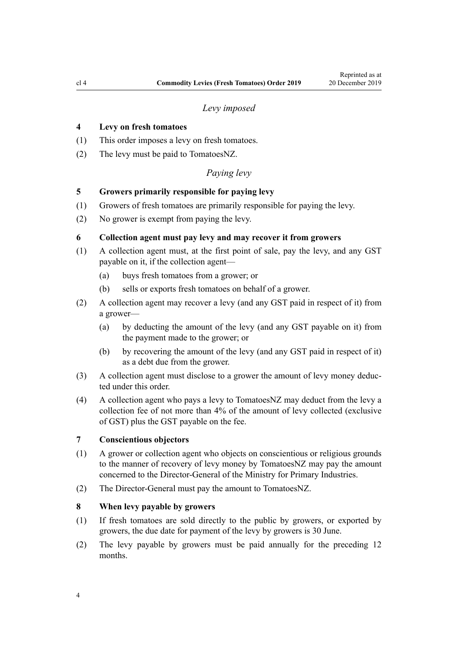#### *Levy imposed*

# <span id="page-3-0"></span>**4 Levy on fresh tomatoes**

- (1) This order imposes a levy on fresh tomatoes.
- (2) The levy must be paid to TomatoesNZ.

# *Paying levy*

# **5 Growers primarily responsible for paying levy**

- (1) Growers of fresh tomatoes are primarily responsible for paying the levy.
- (2) No grower is exempt from paying the levy.

## **6 Collection agent must pay levy and may recover it from growers**

- (1) A collection agent must, at the first point of sale, pay the levy, and any GST payable on it, if the collection agent—
	- (a) buys fresh tomatoes from a grower; or
	- (b) sells or exports fresh tomatoes on behalf of a grower.
- (2) A collection agent may recover a levy (and any GST paid in respect of it) from a grower—
	- (a) by deducting the amount of the levy (and any GST payable on it) from the payment made to the grower; or
	- (b) by recovering the amount of the levy (and any GST paid in respect of it) as a debt due from the grower.
- (3) A collection agent must disclose to a grower the amount of levy money deducted under this order.
- (4) A collection agent who pays a levy to TomatoesNZ may deduct from the levy a collection fee of not more than 4% of the amount of levy collected (exclusive of GST) plus the GST payable on the fee.

#### **7 Conscientious objectors**

- (1) A grower or collection agent who objects on conscientious or religious grounds to the manner of recovery of levy money by TomatoesNZ may pay the amount concerned to the Director-General of the Ministry for Primary Industries.
- (2) The Director-General must pay the amount to TomatoesNZ.

## **8 When levy payable by growers**

- (1) If fresh tomatoes are sold directly to the public by growers, or exported by growers, the due date for payment of the levy by growers is 30 June.
- (2) The levy payable by growers must be paid annually for the preceding 12 months.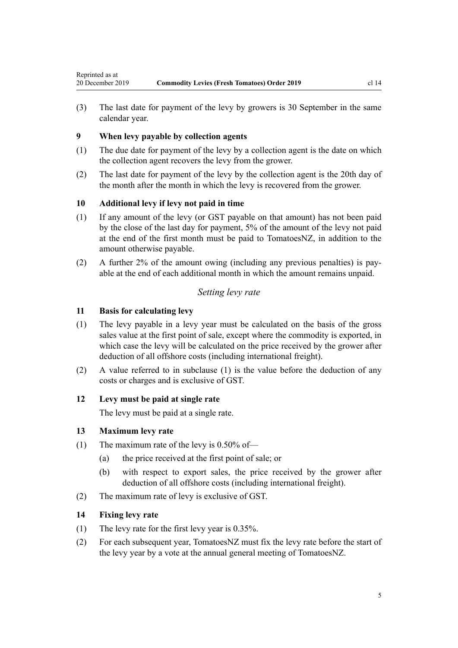<span id="page-4-0"></span>(3) The last date for payment of the levy by growers is 30 September in the same calendar year.

# **9 When levy payable by collection agents**

- (1) The due date for payment of the levy by a collection agent is the date on which the collection agent recovers the levy from the grower.
- (2) The last date for payment of the levy by the collection agent is the 20th day of the month after the month in which the levy is recovered from the grower.

# **10 Additional levy if levy not paid in time**

- (1) If any amount of the levy (or GST payable on that amount) has not been paid by the close of the last day for payment, 5% of the amount of the levy not paid at the end of the first month must be paid to TomatoesNZ, in addition to the amount otherwise payable.
- (2) A further 2% of the amount owing (including any previous penalties) is payable at the end of each additional month in which the amount remains unpaid.

# *Setting levy rate*

# **11 Basis for calculating levy**

- (1) The levy payable in a levy year must be calculated on the basis of the gross sales value at the first point of sale, except where the commodity is exported, in which case the levy will be calculated on the price received by the grower after deduction of all offshore costs (including international freight).
- (2) A value referred to in subclause (1) is the value before the deduction of any costs or charges and is exclusive of GST.

## **12 Levy must be paid at single rate**

The levy must be paid at a single rate.

#### **13 Maximum levy rate**

- (1) The maximum rate of the levy is  $0.50\%$  of—
	- (a) the price received at the first point of sale; or
	- (b) with respect to export sales, the price received by the grower after deduction of all offshore costs (including international freight).
- (2) The maximum rate of levy is exclusive of GST.

# **14 Fixing levy rate**

- (1) The levy rate for the first levy year is 0.35%.
- (2) For each subsequent year, TomatoesNZ must fix the levy rate before the start of the levy year by a vote at the annual general meeting of TomatoesNZ.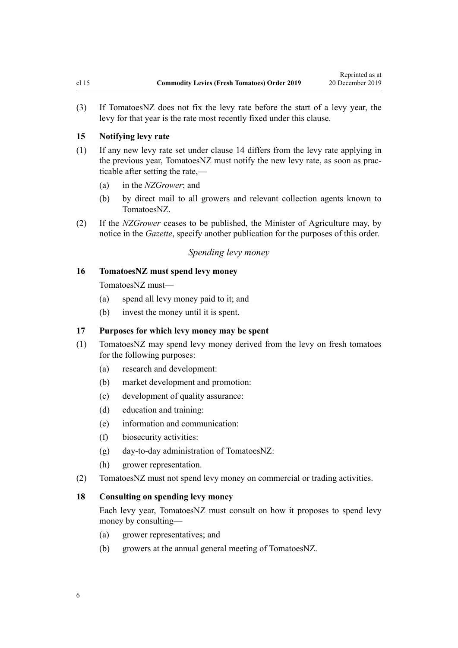<span id="page-5-0"></span>(3) If TomatoesNZ does not fix the levy rate before the start of a levy year, the levy for that year is the rate most recently fixed under this clause.

#### **15 Notifying levy rate**

- (1) If any new levy rate set under [clause 14](#page-4-0) differs from the levy rate applying in the previous year, TomatoesNZ must notify the new levy rate, as soon as practicable after setting the rate,—
	- (a) in the *NZGrower*; and
	- (b) by direct mail to all growers and relevant collection agents known to TomatoesNZ.
- (2) If the *NZGrower* ceases to be published, the Minister of Agriculture may, by notice in the *Gazette*, specify another publication for the purposes of this order.

# *Spending levy money*

## **16 TomatoesNZ must spend levy money**

TomatoesNZ must—

- (a) spend all levy money paid to it; and
- (b) invest the money until it is spent.

#### **17 Purposes for which levy money may be spent**

- (1) TomatoesNZ may spend levy money derived from the levy on fresh tomatoes for the following purposes:
	- (a) research and development:
	- (b) market development and promotion:
	- (c) development of quality assurance:
	- (d) education and training:
	- (e) information and communication:
	- (f) biosecurity activities:
	- (g) day-to-day administration of TomatoesNZ:
	- (h) grower representation.
- (2) TomatoesNZ must not spend levy money on commercial or trading activities.

## **18 Consulting on spending levy money**

Each levy year, TomatoesNZ must consult on how it proposes to spend levy money by consulting—

- (a) grower representatives; and
- (b) growers at the annual general meeting of TomatoesNZ.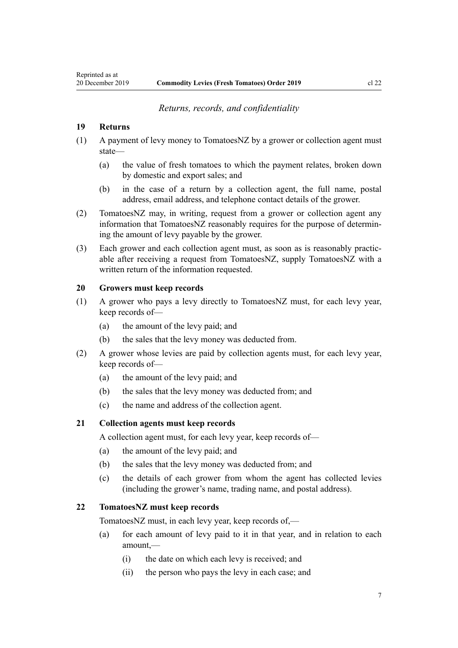#### *Returns, records, and confidentiality*

#### <span id="page-6-0"></span>**19 Returns**

- (1) A payment of levy money to TomatoesNZ by a grower or collection agent must state—
	- (a) the value of fresh tomatoes to which the payment relates, broken down by domestic and export sales; and
	- (b) in the case of a return by a collection agent, the full name, postal address, email address, and telephone contact details of the grower.
- (2) TomatoesNZ may, in writing, request from a grower or collection agent any information that TomatoesNZ reasonably requires for the purpose of determining the amount of levy payable by the grower.
- (3) Each grower and each collection agent must, as soon as is reasonably practicable after receiving a request from TomatoesNZ, supply TomatoesNZ with a written return of the information requested.

## **20 Growers must keep records**

- (1) A grower who pays a levy directly to TomatoesNZ must, for each levy year, keep records of—
	- (a) the amount of the levy paid; and
	- (b) the sales that the levy money was deducted from.
- (2) A grower whose levies are paid by collection agents must, for each levy year, keep records of—
	- (a) the amount of the levy paid; and
	- (b) the sales that the levy money was deducted from; and
	- (c) the name and address of the collection agent.

#### **21 Collection agents must keep records**

A collection agent must, for each levy year, keep records of—

- (a) the amount of the levy paid; and
- (b) the sales that the levy money was deducted from; and
- (c) the details of each grower from whom the agent has collected levies (including the grower's name, trading name, and postal address).

## **22 TomatoesNZ must keep records**

TomatoesNZ must, in each levy year, keep records of,—

- (a) for each amount of levy paid to it in that year, and in relation to each amount,—
	- (i) the date on which each levy is received; and
	- (ii) the person who pays the levy in each case; and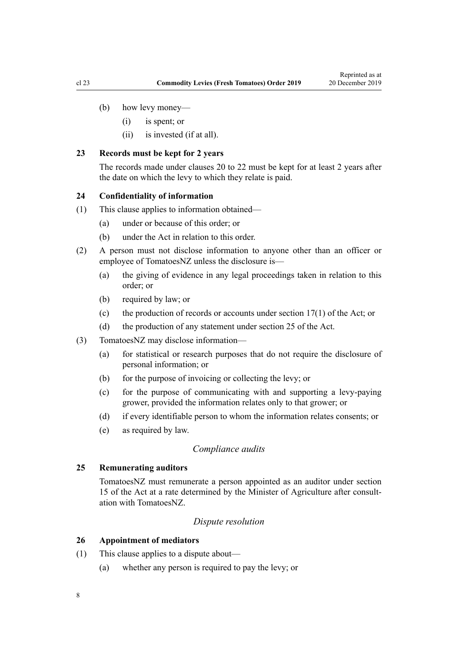- <span id="page-7-0"></span>(b) how levy money—
	- (i) is spent; or
	- (ii) is invested (if at all).

#### **23 Records must be kept for 2 years**

The records made under [clauses 20 to 22](#page-6-0) must be kept for at least 2 years after the date on which the levy to which they relate is paid.

#### **24 Confidentiality of information**

- (1) This clause applies to information obtained—
	- (a) under or because of this order; or
	- (b) under the Act in relation to this order.
- (2) A person must not disclose information to anyone other than an officer or employee of TomatoesNZ unless the disclosure is—
	- (a) the giving of evidence in any legal proceedings taken in relation to this order; or
	- (b) required by law; or
	- (c) the production of records or accounts under [section 17\(1\)](http://legislation.govt.nz/pdflink.aspx?id=DLM227345) of the Act; or
	- (d) the production of any statement under [section 25](http://legislation.govt.nz/pdflink.aspx?id=DLM227355) of the Act.
- (3) TomatoesNZ may disclose information—
	- (a) for statistical or research purposes that do not require the disclosure of personal information; or
	- (b) for the purpose of invoicing or collecting the levy; or
	- (c) for the purpose of communicating with and supporting a levy-paying grower, provided the information relates only to that grower; or
	- (d) if every identifiable person to whom the information relates consents; or
	- (e) as required by law.

#### *Compliance audits*

# **25 Remunerating auditors**

TomatoesNZ must remunerate a person appointed as an auditor under [section](http://legislation.govt.nz/pdflink.aspx?id=DLM227341) [15](http://legislation.govt.nz/pdflink.aspx?id=DLM227341) of the Act at a rate determined by the Minister of Agriculture after consultation with TomatoesNZ.

# *Dispute resolution*

#### **26 Appointment of mediators**

- (1) This clause applies to a dispute about—
	- (a) whether any person is required to pay the levy; or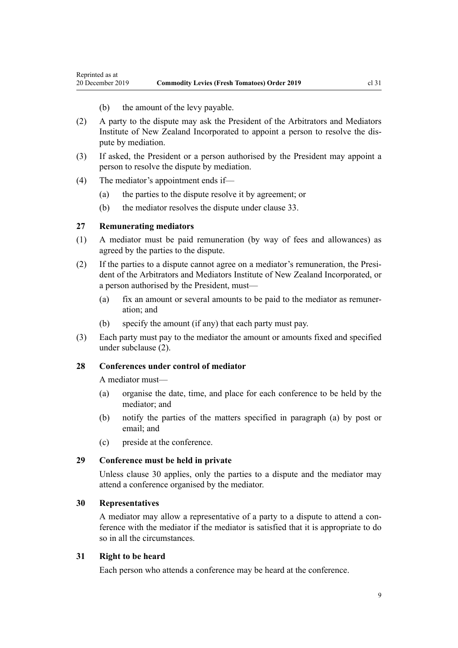- (b) the amount of the levy payable.
- <span id="page-8-0"></span>(2) A party to the dispute may ask the President of the Arbitrators and Mediators Institute of New Zealand Incorporated to appoint a person to resolve the dispute by mediation.
- (3) If asked, the President or a person authorised by the President may appoint a person to resolve the dispute by mediation.
- (4) The mediator's appointment ends if—
	- (a) the parties to the dispute resolve it by agreement; or
	- (b) the mediator resolves the dispute under [clause 33.](#page-9-0)

# **27 Remunerating mediators**

- (1) A mediator must be paid remuneration (by way of fees and allowances) as agreed by the parties to the dispute.
- (2) If the parties to a dispute cannot agree on a mediator's remuneration, the President of the Arbitrators and Mediators Institute of New Zealand Incorporated, or a person authorised by the President, must—
	- (a) fix an amount or several amounts to be paid to the mediator as remuneration; and
	- (b) specify the amount (if any) that each party must pay.
- (3) Each party must pay to the mediator the amount or amounts fixed and specified under subclause (2).

# **28 Conferences under control of mediator**

A mediator must—

- (a) organise the date, time, and place for each conference to be held by the mediator; and
- (b) notify the parties of the matters specified in paragraph (a) by post or email; and
- (c) preside at the conference.

#### **29 Conference must be held in private**

Unless clause 30 applies, only the parties to a dispute and the mediator may attend a conference organised by the mediator.

## **30 Representatives**

A mediator may allow a representative of a party to a dispute to attend a conference with the mediator if the mediator is satisfied that it is appropriate to do so in all the circumstances.

## **31 Right to be heard**

Each person who attends a conference may be heard at the conference.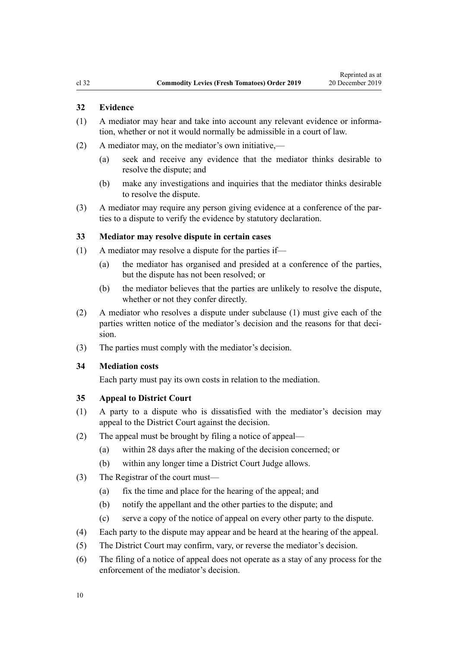## <span id="page-9-0"></span>**32 Evidence**

- (1) A mediator may hear and take into account any relevant evidence or information, whether or not it would normally be admissible in a court of law.
- (2) A mediator may, on the mediator's own initiative,—
	- (a) seek and receive any evidence that the mediator thinks desirable to resolve the dispute; and
	- (b) make any investigations and inquiries that the mediator thinks desirable to resolve the dispute.
- (3) A mediator may require any person giving evidence at a conference of the parties to a dispute to verify the evidence by statutory declaration.

#### **33 Mediator may resolve dispute in certain cases**

- (1) A mediator may resolve a dispute for the parties if—
	- (a) the mediator has organised and presided at a conference of the parties, but the dispute has not been resolved; or
	- (b) the mediator believes that the parties are unlikely to resolve the dispute, whether or not they confer directly.
- (2) A mediator who resolves a dispute under subclause (1) must give each of the parties written notice of the mediator's decision and the reasons for that decision.
- (3) The parties must comply with the mediator's decision.

## **34 Mediation costs**

Each party must pay its own costs in relation to the mediation.

## **35 Appeal to District Court**

- (1) A party to a dispute who is dissatisfied with the mediator's decision may appeal to the District Court against the decision.
- (2) The appeal must be brought by filing a notice of appeal—
	- (a) within 28 days after the making of the decision concerned; or
	- (b) within any longer time a District Court Judge allows.
- (3) The Registrar of the court must—
	- (a) fix the time and place for the hearing of the appeal; and
	- (b) notify the appellant and the other parties to the dispute; and
	- (c) serve a copy of the notice of appeal on every other party to the dispute.
- (4) Each party to the dispute may appear and be heard at the hearing of the appeal.
- (5) The District Court may confirm, vary, or reverse the mediator's decision.
- (6) The filing of a notice of appeal does not operate as a stay of any process for the enforcement of the mediator's decision.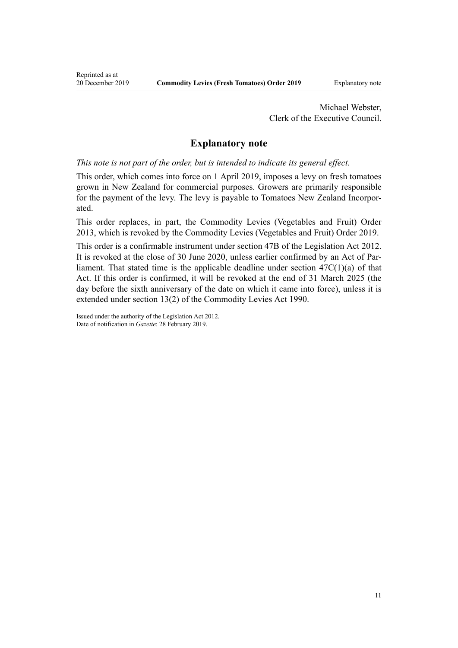Michael Webster, Clerk of the Executive Council.

# **Explanatory note**

*This note is not part of the order, but is intended to indicate its general effect.*

This order, which comes into force on 1 April 2019, imposes a levy on fresh tomatoes grown in New Zealand for commercial purposes. Growers are primarily responsible for the payment of the levy. The levy is payable to Tomatoes New Zealand Incorporated.

This order replaces, in part, the [Commodity Levies \(Vegetables and Fruit\) Order](http://legislation.govt.nz/pdflink.aspx?id=DLM5180100) [2013](http://legislation.govt.nz/pdflink.aspx?id=DLM5180100), which is revoked by the Commodity Levies (Vegetables and Fruit) Order 2019.

This order is a confirmable instrument under [section 47B](http://legislation.govt.nz/pdflink.aspx?id=DLM6705124) of the Legislation Act 2012. It is revoked at the close of 30 June 2020, unless earlier confirmed by an Act of Parliament. That stated time is the applicable deadline under section  $47C(1)(a)$  of that Act. If this order is confirmed, it will be revoked at the end of 31 March 2025 (the day before the sixth anniversary of the date on which it came into force), unless it is extended under [section 13\(2\)](http://legislation.govt.nz/pdflink.aspx?id=DLM227338) of the Commodity Levies Act 1990.

Issued under the authority of the [Legislation Act 2012](http://legislation.govt.nz/pdflink.aspx?id=DLM2997643). Date of notification in *Gazette*: 28 February 2019.